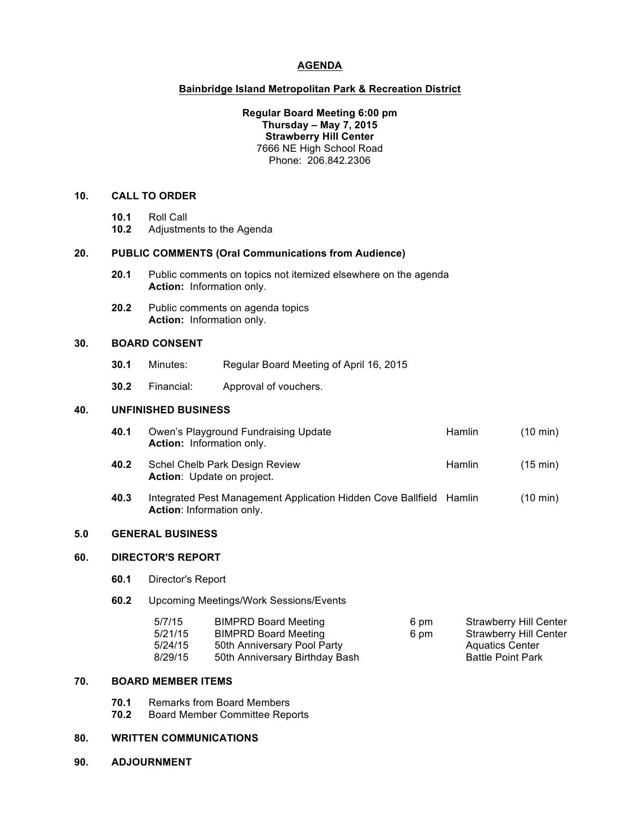## **AGENDA**

#### **Bainbridge Island Metropolitan Park & Recreation District**

#### **Regular Board Meeting 6:00 pm Thursday – May 7, 2015 Strawberry Hill Center** 7666 NE High School Road Phone: 206.842.2306

## **10. CALL TO ORDER**

- **10.1** Roll Call
- **10.2** Adjustments to the Agenda

## **20. PUBLIC COMMENTS (Oral Communications from Audience)**

- **20.1** Public comments on topics not itemized elsewhere on the agenda **Action:** Information only.
- **20.2** Public comments on agenda topics **Action:** Information only.

## **30. BOARD CONSENT**

- **30.1** Minutes: Regular Board Meeting of April 16, 2015
- **30.2** Financial: Approval of vouchers.

## **40. UNFINISHED BUSINESS**

| 40.1 | Owen's Playground Fundraising Update<br><b>Action:</b> Information only. | <b>Hamlin</b> | $(10 \text{ min})$ |
|------|--------------------------------------------------------------------------|---------------|--------------------|
| 40.2 | Schel Chelb Park Design Review<br><b>Action:</b> Update on project.      | <b>Hamlin</b> | $(15 \text{ min})$ |
| 10 S | Integrated Deat Management Application Hidden Cove Politicid             | Lomlin        | (10 min)           |

**40.3** Integrated Pest Management Application Hidden Cove Ballfield Hamlin (10 min) **Action**: Information only.

#### **5.0 GENERAL BUSINESS**

## **60. DIRECTOR'S REPORT**

- **60.1** Director's Report
- **60.2** Upcoming Meetings/Work Sessions/Events

| 5/7/15  | <b>BIMPRD Board Meeting</b>    | 6 pm | <b>Strawberry Hill Center</b> |
|---------|--------------------------------|------|-------------------------------|
| 5/21/15 | <b>BIMPRD Board Meeting</b>    | 6 pm | Strawberry Hill Center        |
| 5/24/15 | 50th Anniversary Pool Party    |      | <b>Aquatics Center</b>        |
| 8/29/15 | 50th Anniversary Birthday Bash |      | <b>Battle Point Park</b>      |

#### **70. BOARD MEMBER ITEMS**

- **70.1** Remarks from Board Members
- **70.2** Board Member Committee Reports

## **80. WRITTEN COMMUNICATIONS**

**90. ADJOURNMENT**